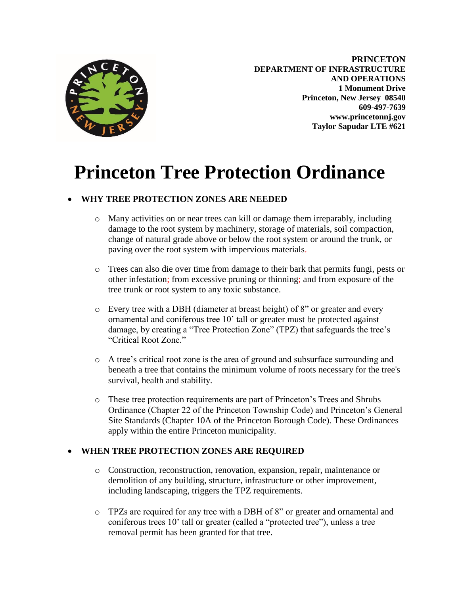

**PRINCETON DEPARTMENT OF INFRASTRUCTURE AND OPERATIONS 1 Monument Drive Princeton, New Jersey 08540 609-497-7639 www.princetonnj.gov Taylor Sapudar LTE #621**

# **Princeton Tree Protection Ordinance**

#### **WHY TREE PROTECTION ZONES ARE NEEDED**

- o Many activities on or near trees can kill or damage them irreparably, including damage to the root system by machinery, storage of materials, soil compaction, change of natural grade above or below the root system or around the trunk, or paving over the root system with impervious materials.
- o Trees can also die over time from damage to their bark that permits fungi, pests or other infestation; from excessive pruning or thinning; and from exposure of the tree trunk or root system to any toxic substance.
- o Every tree with a DBH (diameter at breast height) of 8" or greater and every ornamental and coniferous tree 10' tall or greater must be protected against damage, by creating a "Tree Protection Zone" (TPZ) that safeguards the tree's "Critical Root Zone."
- o A tree's critical root zone is the area of ground and subsurface surrounding and beneath a tree that contains the minimum volume of roots necessary for the tree's survival, health and stability.
- o These tree protection requirements are part of Princeton's Trees and Shrubs Ordinance (Chapter 22 of the Princeton Township Code) and Princeton's General Site Standards (Chapter 10A of the Princeton Borough Code). These Ordinances apply within the entire Princeton municipality.

#### **WHEN TREE PROTECTION ZONES ARE REQUIRED**

- o Construction, reconstruction, renovation, expansion, repair, maintenance or demolition of any building, structure, infrastructure or other improvement, including landscaping, triggers the TPZ requirements.
- o TPZs are required for any tree with a DBH of 8" or greater and ornamental and coniferous trees 10' tall or greater (called a "protected tree"), unless a tree removal permit has been granted for that tree.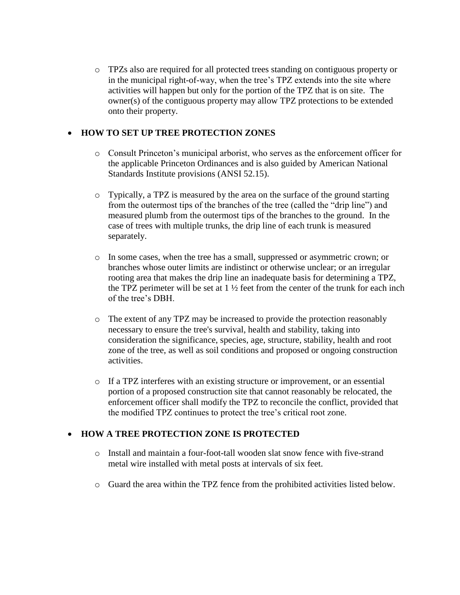o TPZs also are required for all protected trees standing on contiguous property or in the municipal right-of-way, when the tree's TPZ extends into the site where activities will happen but only for the portion of the TPZ that is on site. The owner(s) of the contiguous property may allow TPZ protections to be extended onto their property.

#### **HOW TO SET UP TREE PROTECTION ZONES**

- o Consult Princeton's municipal arborist, who serves as the enforcement officer for the applicable Princeton Ordinances and is also guided by American National Standards Institute provisions (ANSI 52.15).
- o Typically, a TPZ is measured by the area on the surface of the ground starting from the outermost tips of the branches of the tree (called the "drip line") and measured plumb from the outermost tips of the branches to the ground. In the case of trees with multiple trunks, the drip line of each trunk is measured separately.
- o In some cases, when the tree has a small, suppressed or asymmetric crown; or branches whose outer limits are indistinct or otherwise unclear; or an irregular rooting area that makes the drip line an inadequate basis for determining a TPZ, the TPZ perimeter will be set at  $1\frac{1}{2}$  feet from the center of the trunk for each inch of the tree's DBH.
- o The extent of any TPZ may be increased to provide the protection reasonably necessary to ensure the tree's survival, health and stability, taking into consideration the significance, species, age, structure, stability, health and root zone of the tree, as well as soil conditions and proposed or ongoing construction activities.
- o If a TPZ interferes with an existing structure or improvement, or an essential portion of a proposed construction site that cannot reasonably be relocated, the enforcement officer shall modify the TPZ to reconcile the conflict, provided that the modified TPZ continues to protect the tree's critical root zone.

#### **HOW A TREE PROTECTION ZONE IS PROTECTED**

- o Install and maintain a four-foot-tall wooden slat snow fence with five-strand metal wire installed with metal posts at intervals of six feet.
- o Guard the area within the TPZ fence from the prohibited activities listed below.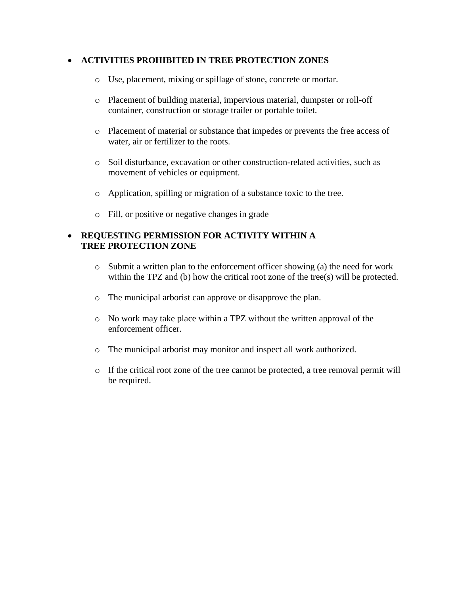#### **ACTIVITIES PROHIBITED IN TREE PROTECTION ZONES**

- o Use, placement, mixing or spillage of stone, concrete or mortar.
- o Placement of building material, impervious material, dumpster or roll-off container, construction or storage trailer or portable toilet.
- o Placement of material or substance that impedes or prevents the free access of water, air or fertilizer to the roots.
- o Soil disturbance, excavation or other construction-related activities, such as movement of vehicles or equipment.
- o Application, spilling or migration of a substance toxic to the tree.
- o Fill, or positive or negative changes in grade

#### **REQUESTING PERMISSION FOR ACTIVITY WITHIN A TREE PROTECTION ZONE**

- o Submit a written plan to the enforcement officer showing (a) the need for work within the TPZ and (b) how the critical root zone of the tree(s) will be protected.
- o The municipal arborist can approve or disapprove the plan.
- o No work may take place within a TPZ without the written approval of the enforcement officer.
- o The municipal arborist may monitor and inspect all work authorized.
- o If the critical root zone of the tree cannot be protected, a tree removal permit will be required.